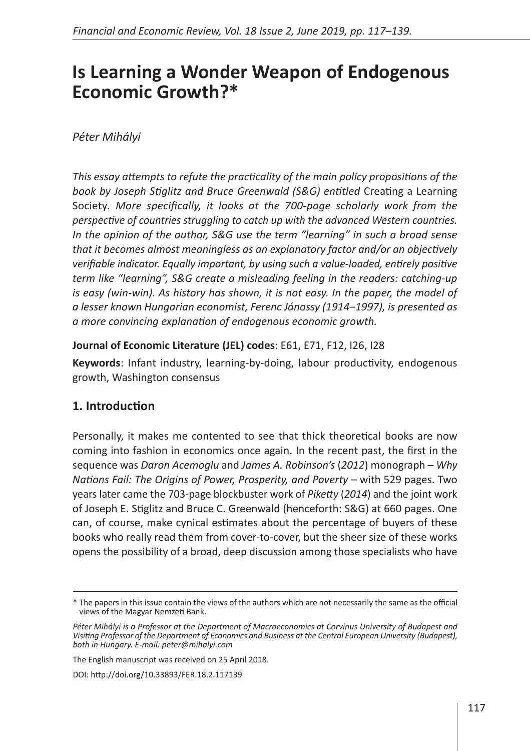# **Is Learning a Wonder Weapon of Endogenous Economic Growth?\***

#### *Péter Mihályi*

*This essay attempts to refute the practicality of the main policy propositions of the book by Joseph Stiglitz and Bruce Greenwald (S&G) entitled* Creating a Learning Society*. More specifically, it looks at the 700-page scholarly work from the perspective of countries struggling to catch up with the advanced Western countries. In the opinion of the author, S&G use the term "learning" in such a broad sense that it becomes almost meaningless as an explanatory factor and/or an objectively verifiable indicator. Equally important, by using such a value-loaded, entirely positive term like "learning", S&G create a misleading feeling in the readers: catching-up*  is easy (win-win). As history has shown, it is not easy. In the paper, the model of *a lesser known Hungarian economist, Ferenc Jánossy (1914–1997), is presented as a more convincing explanation of endogenous economic growth.* 

#### **Journal of Economic Literature (JEL) codes**: E61, E71, F12, I26, I28

**Keywords**: Infant industry, learning-by-doing, labour productivity, endogenous growth, Washington consensus

### **1. Introduction**

Personally, it makes me contented to see that thick theoretical books are now coming into fashion in economics once again. In the recent past, the first in the sequence was *Daron Acemoglu* and *James A. Robinson's* (*2012*) monograph – *Why Nations Fail: The Origins of Power, Prosperity, and Poverty* – with 529 pages. Two years later came the 703-page blockbuster work of *Piketty* (*2014*) and the joint work of Joseph E. Stiglitz and Bruce C. Greenwald (henceforth: S&G) at 660 pages. One can, of course, make cynical estimates about the percentage of buyers of these books who really read them from cover-to-cover, but the sheer size of these works opens the possibility of a broad, deep discussion among those specialists who have

The English manuscript was received on 25 April 2018.

DOI: <http://doi.org/10.33893/FER.18.2.117139>

<sup>\*</sup> The papers in this issue contain the views of the authors which are not necessarily the same as the official views of the Magyar Nemzeti Bank.

*Péter Mihályi is a Professor at the Department of Macroeconomics at Corvinus University of Budapest and Visiting Professor of the Department of Economics and Business at the Central European University (Budapest), both in Hungary. E-mail: peter@mihalyi.com*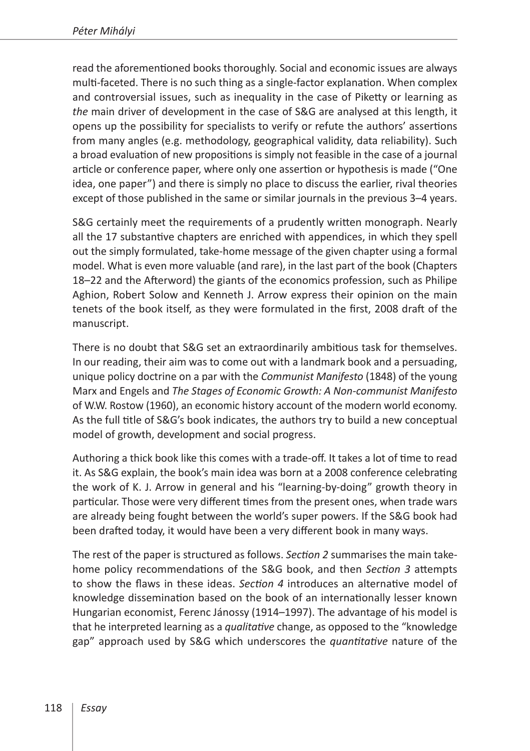read the aforementioned books thoroughly. Social and economic issues are always multi-faceted. There is no such thing as a single-factor explanation. When complex and controversial issues, such as inequality in the case of Piketty or learning as *the* main driver of development in the case of S&G are analysed at this length, it opens up the possibility for specialists to verify or refute the authors' assertions from many angles (e.g. methodology, geographical validity, data reliability). Such a broad evaluation of new propositions is simply not feasible in the case of a journal article or conference paper, where only one assertion or hypothesis is made ("One idea, one paper") and there is simply no place to discuss the earlier, rival theories except of those published in the same or similar journals in the previous 3–4 years.

S&G certainly meet the requirements of a prudently written monograph. Nearly all the 17 substantive chapters are enriched with appendices, in which they spell out the simply formulated, take-home message of the given chapter using a formal model. What is even more valuable (and rare), in the last part of the book (Chapters 18–22 and the Afterword) the giants of the economics profession, such as Philipe Aghion, Robert Solow and Kenneth J. Arrow express their opinion on the main tenets of the book itself, as they were formulated in the first, 2008 draft of the manuscript.

There is no doubt that S&G set an extraordinarily ambitious task for themselves. In our reading, their aim was to come out with a landmark book and a persuading, unique policy doctrine on a par with the *Communist Manifesto* (1848) of the young Marx and Engels and *The Stages of Economic Growth: A Non-communist Manifesto* of W.W. Rostow (1960), an economic history account of the modern world economy. As the full title of S&G's book indicates, the authors try to build a new conceptual model of growth, development and social progress.

Authoring a thick book like this comes with a trade-off. It takes a lot of time to read it. As S&G explain, the book's main idea was born at a 2008 conference celebrating the work of K. J. Arrow in general and his "learning-by-doing" growth theory in particular. Those were very different times from the present ones, when trade wars are already being fought between the world's super powers. If the S&G book had been drafted today, it would have been a very different book in many ways.

The rest of the paper is structured as follows. *Section 2* summarises the main takehome policy recommendations of the S&G book, and then *Section 3* attempts to show the flaws in these ideas. *Section 4* introduces an alternative model of knowledge dissemination based on the book of an internationally lesser known Hungarian economist, Ferenc Jánossy (1914–1997). The advantage of his model is that he interpreted learning as a *qualitative* change, as opposed to the "knowledge gap" approach used by S&G which underscores the *quantitative* nature of the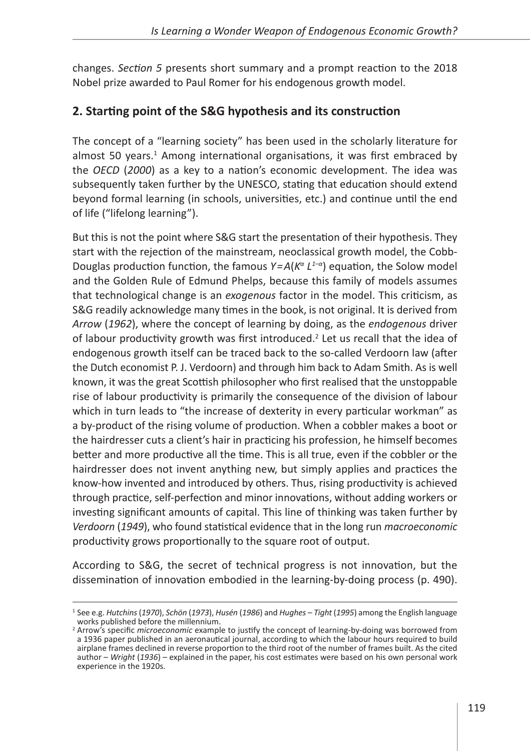changes. *Section 5* presents short summary and a prompt reaction to the 2018 Nobel prize awarded to Paul Romer for his endogenous growth model.

## **2. Starting point of the S&G hypothesis and its construction**

The concept of a "learning society" has been used in the scholarly literature for almost 50 years.<sup>1</sup> Among international organisations, it was first embraced by the *OECD* (*2000*) as a key to a nation's economic development. The idea was subsequently taken further by the UNESCO, stating that education should extend beyond formal learning (in schools, universities, etc.) and continue until the end of life ("lifelong learning").

But this is not the point where S&G start the presentation of their hypothesis. They start with the rejection of the mainstream, neoclassical growth model, the Cobb-Douglas production function, the famous *Y=A*(*K<sup>α</sup> L1–α*) equation, the Solow model and the Golden Rule of Edmund Phelps, because this family of models assumes that technological change is an *exogenous* factor in the model. This criticism, as S&G readily acknowledge many times in the book, is not original. It is derived from *Arrow* (*1962*), where the concept of learning by doing, as the *endogenous* driver of labour productivity growth was first introduced.<sup>2</sup> Let us recall that the idea of endogenous growth itself can be traced back to the so-called Verdoorn law (after the Dutch economist P. J. Verdoorn) and through him back to Adam Smith. As is well known, it was the great Scottish philosopher who first realised that the unstoppable rise of labour productivity is primarily the consequence of the division of labour which in turn leads to "the increase of dexterity in every particular workman" as a by-product of the rising volume of production. When a cobbler makes a boot or the hairdresser cuts a client's hair in practicing his profession, he himself becomes better and more productive all the time. This is all true, even if the cobbler or the hairdresser does not invent anything new, but simply applies and practices the know-how invented and introduced by others. Thus, rising productivity is achieved through practice, self-perfection and minor innovations, without adding workers or investing significant amounts of capital. This line of thinking was taken further by *Verdoorn* (*1949*), who found statistical evidence that in the long run *macroeconomic* productivity grows proportionally to the square root of output.

According to S&G, the secret of technical progress is not innovation, but the dissemination of innovation embodied in the learning-by-doing process (p. 490).

<sup>1</sup> See e.g. *Hutchins* (*1970*), *Schön* (*1973*), *Husén* (*1986*) and *Hughes – Tight* (*1995*) among the English language works published before the millennium.

<sup>2</sup> Arrow's specific *microeconomic* example to justify the concept of learning-by-doing was borrowed from a 1936 paper published in an aeronautical journal, according to which the labour hours required to build airplane frames declined in reverse proportion to the third root of the number of frames built. As the cited author – *Wright* (*1936*) – explained in the paper, his cost estimates were based on his own personal work experience in the 1920s.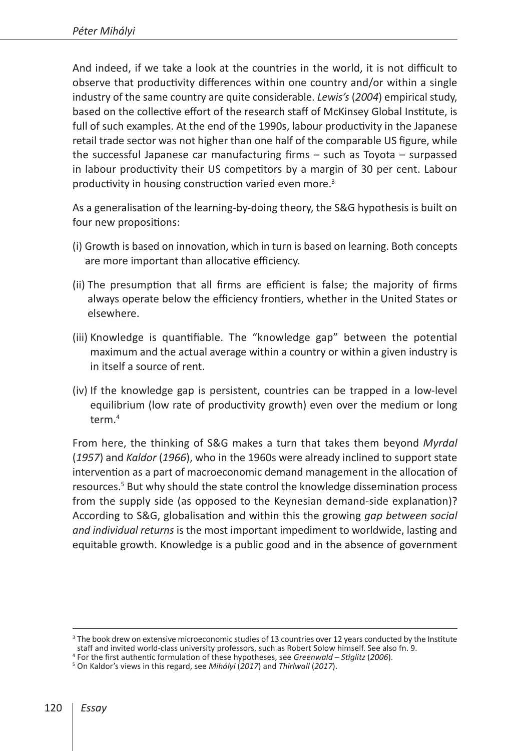And indeed, if we take a look at the countries in the world, it is not difficult to observe that productivity differences within one country and/or within a single industry of the same country are quite considerable. *Lewis's* (*2004*) empirical study, based on the collective effort of the research staff of McKinsey Global Institute, is full of such examples. At the end of the 1990s, labour productivity in the Japanese retail trade sector was not higher than one half of the comparable US figure, while the successful Japanese car manufacturing firms – such as Toyota – surpassed in labour productivity their US competitors by a margin of 30 per cent. Labour productivity in housing construction varied even more.<sup>3</sup>

As a generalisation of the learning-by-doing theory, the S&G hypothesis is built on four new propositions:

- (i) Growth is based on innovation, which in turn is based on learning. Both concepts are more important than allocative efficiency.
- (ii) The presumption that all firms are efficient is false; the majority of firms always operate below the efficiency frontiers, whether in the United States or elsewhere.
- (iii) Knowledge is quantifiable. The "knowledge gap" between the potential maximum and the actual average within a country or within a given industry is in itself a source of rent.
- (iv) If the knowledge gap is persistent, countries can be trapped in a low-level equilibrium (low rate of productivity growth) even over the medium or long term.4

From here, the thinking of S&G makes a turn that takes them beyond *Myrdal* (*1957*) and *Kaldor* (*1966*), who in the 1960s were already inclined to support state intervention as a part of macroeconomic demand management in the allocation of resources.<sup>5</sup> But why should the state control the knowledge dissemination process from the supply side (as opposed to the Keynesian demand-side explanation)? According to S&G, globalisation and within this the growing *gap between social and individual returns* is the most important impediment to worldwide, lasting and equitable growth. Knowledge is a public good and in the absence of government

<sup>&</sup>lt;sup>3</sup> The book drew on extensive microeconomic studies of 13 countries over 12 years conducted by the Institute staff and invited world-class university professors, such as Robert Solow himself. See also fn. 9.

<sup>4</sup> For the first authentic formulation of these hypotheses, see *Greenwald – Stiglitz* (*2006*). <sup>5</sup> On Kaldor's views in this regard, see *Mihályi* (*2017*) and *Thirlwall* (*2017*).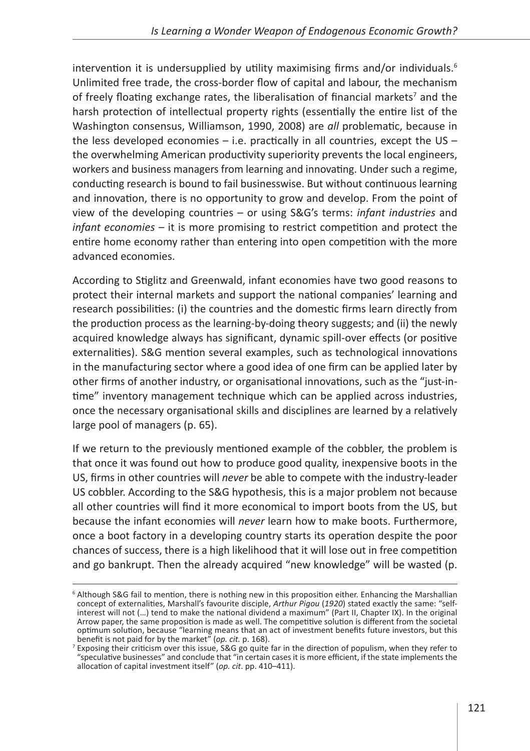intervention it is undersupplied by utility maximising firms and/or individuals. $6$ Unlimited free trade, the cross-border flow of capital and labour, the mechanism of freely floating exchange rates, the liberalisation of financial markets<sup>7</sup> and the harsh protection of intellectual property rights (essentially the entire list of the Washington consensus, Williamson, 1990, 2008) are *all* problematic, because in the less developed economies  $-$  i.e. practically in all countries, except the US  $$ the overwhelming American productivity superiority prevents the local engineers, workers and business managers from learning and innovating. Under such a regime, conducting research is bound to fail businesswise. But without continuous learning and innovation, there is no opportunity to grow and develop. From the point of view of the developing countries – or using S&G's terms: *infant industries* and *infant economies* – it is more promising to restrict competition and protect the entire home economy rather than entering into open competition with the more advanced economies.

According to Stiglitz and Greenwald, infant economies have two good reasons to protect their internal markets and support the national companies' learning and research possibilities: (i) the countries and the domestic firms learn directly from the production process as the learning-by-doing theory suggests; and (ii) the newly acquired knowledge always has significant, dynamic spill-over effects (or positive externalities). S&G mention several examples, such as technological innovations in the manufacturing sector where a good idea of one firm can be applied later by other firms of another industry, or organisational innovations, such as the "just-intime" inventory management technique which can be applied across industries, once the necessary organisational skills and disciplines are learned by a relatively large pool of managers (p. 65).

If we return to the previously mentioned example of the cobbler, the problem is that once it was found out how to produce good quality, inexpensive boots in the US, firms in other countries will *never* be able to compete with the industry-leader US cobbler. According to the S&G hypothesis, this is a major problem not because all other countries will find it more economical to import boots from the US, but because the infant economies will *never* learn how to make boots. Furthermore, once a boot factory in a developing country starts its operation despite the poor chances of success, there is a high likelihood that it will lose out in free competition and go bankrupt. Then the already acquired "new knowledge" will be wasted (p.

<sup>&</sup>lt;sup>6</sup> Although S&G fail to mention, there is nothing new in this proposition either. Enhancing the Marshallian concept of externalities, Marshall's favourite disciple, *Arthur Pigou* (*1920*) stated exactly the same: "selfinterest will not (…) tend to make the national dividend a maximum" (Part II, Chapter IX). In the original Arrow paper, the same proposition is made as well. The competitive solution is different from the societal optimum solution, because "learning means that an act of investment benefits future investors, but this benefit is not paid for by the market" (op. cit. p. 168).

 $^7$  Exposing their criticism over this issue, S&G go quite far in the direction of populism, when they refer to "speculative businesses" and conclude that "in certain cases it is more efficient, if the state implements the allocation of capital investment itself" (*op. cit*. pp. 410–411).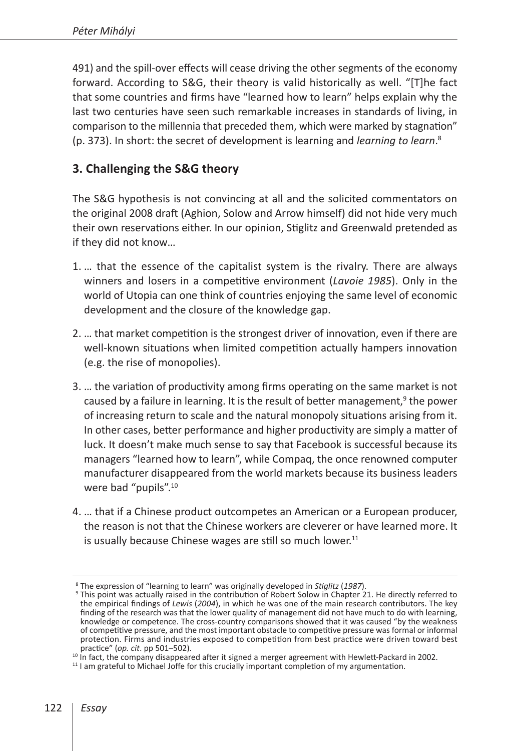491) and the spill-over effects will cease driving the other segments of the economy forward. According to S&G, their theory is valid historically as well. "[T]he fact that some countries and firms have "learned how to learn" helps explain why the last two centuries have seen such remarkable increases in standards of living, in comparison to the millennia that preceded them, which were marked by stagnation" (p. 373). In short: the secret of development is learning and *learning to learn*. 8

## **3. Challenging the S&G theory**

The S&G hypothesis is not convincing at all and the solicited commentators on the original 2008 draft (Aghion, Solow and Arrow himself) did not hide very much their own reservations either. In our opinion, Stiglitz and Greenwald pretended as if they did not know…

- 1. … that the essence of the capitalist system is the rivalry. There are always winners and losers in a competitive environment (*Lavoie 1985*). Only in the world of Utopia can one think of countries enjoying the same level of economic development and the closure of the knowledge gap.
- 2. … that market competition is the strongest driver of innovation, even if there are well-known situations when limited competition actually hampers innovation (e.g. the rise of monopolies).
- 3. … the variation of productivity among firms operating on the same market is not caused by a failure in learning. It is the result of better management,<sup>9</sup> the power of increasing return to scale and the natural monopoly situations arising from it. In other cases, better performance and higher productivity are simply a matter of luck. It doesn't make much sense to say that Facebook is successful because its managers "learned how to learn", while Compaq, the once renowned computer manufacturer disappeared from the world markets because its business leaders were bad "pupils".10
- 4. … that if a Chinese product outcompetes an American or a European producer, the reason is not that the Chinese workers are cleverer or have learned more. It is usually because Chinese wages are still so much lower. $11$

<sup>&</sup>lt;sup>8</sup> The expression of "learning to learn" was originally developed in *Stiglitz* (1987).<br><sup>9</sup> This point was actually raised in the contribution of Robert Solow in Chapter 21. He directly referred to the empirical findings of *Lewis* (*2004*), in which he was one of the main research contributors. The key finding of the research was that the lower quality of management did not have much to do with learning, knowledge or competence. The cross-country comparisons showed that it was caused "by the weakness of competitive pressure, and the most important obstacle to competitive pressure was formal or informal protection. Firms and industries exposed to competition from best practice were driven toward best practice" (op. cit. pp 501–502).

<sup>&</sup>lt;sup>10</sup> In fact, the company disappeared after it signed a merger agreement with Hewlett-Packard in 2002.<br><sup>11</sup> I am grateful to Michael Joffe for this crucially important completion of my argumentation.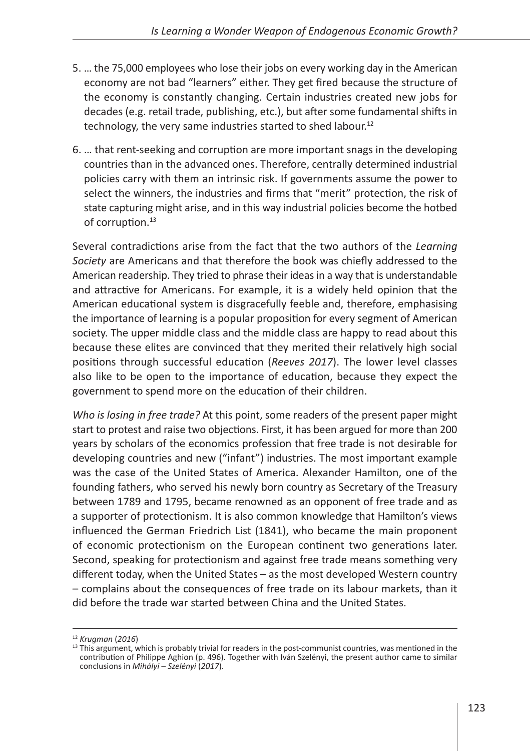- 5. … the 75,000 employees who lose their jobs on every working day in the American economy are not bad "learners" either. They get fired because the structure of the economy is constantly changing. Certain industries created new jobs for decades (e.g. retail trade, publishing, etc.), but after some fundamental shifts in technology, the very same industries started to shed labour.12
- 6. … that rent-seeking and corruption are more important snags in the developing countries than in the advanced ones. Therefore, centrally determined industrial policies carry with them an intrinsic risk. If governments assume the power to select the winners, the industries and firms that "merit" protection, the risk of state capturing might arise, and in this way industrial policies become the hotbed of corruption.<sup>13</sup>

Several contradictions arise from the fact that the two authors of the *Learning Society* are Americans and that therefore the book was chiefly addressed to the American readership. They tried to phrase their ideas in a way that is understandable and attractive for Americans. For example, it is a widely held opinion that the American educational system is disgracefully feeble and, therefore, emphasising the importance of learning is a popular proposition for every segment of American society. The upper middle class and the middle class are happy to read about this because these elites are convinced that they merited their relatively high social positions through successful education (*Reeves 2017*). The lower level classes also like to be open to the importance of education, because they expect the government to spend more on the education of their children.

*Who is losing in free trade?* At this point, some readers of the present paper might start to protest and raise two objections. First, it has been argued for more than 200 years by scholars of the economics profession that free trade is not desirable for developing countries and new ("infant") industries. The most important example was the case of the United States of America. Alexander Hamilton, one of the founding fathers, who served his newly born country as Secretary of the Treasury between 1789 and 1795, became renowned as an opponent of free trade and as a supporter of protectionism. It is also common knowledge that Hamilton's views influenced the German Friedrich List (1841), who became the main proponent of economic protectionism on the European continent two generations later. Second, speaking for protectionism and against free trade means something very different today, when the United States – as the most developed Western country – complains about the consequences of free trade on its labour markets, than it did before the trade war started between China and the United States.

<sup>&</sup>lt;sup>12</sup> *Krugman (2016)*<br><sup>13</sup> This argument, which is probably trivial for readers in the post-communist countries, was mentioned in the contribution of Philippe Aghion (p. 496). Together with Iván Szelényi, the present author came to similar conclusions in *Mihályi – Szelényi* (*2017*).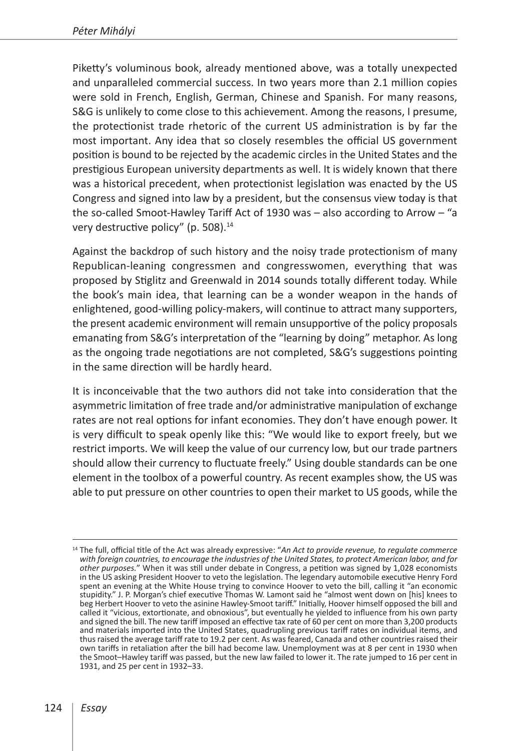Piketty's voluminous book, already mentioned above, was a totally unexpected and unparalleled commercial success. In two years more than 2.1 million copies were sold in French, English, German, Chinese and Spanish. For many reasons, S&G is unlikely to come close to this achievement. Among the reasons, I presume, the protectionist trade rhetoric of the current US administration is by far the most important. Any idea that so closely resembles the official US government position is bound to be rejected by the academic circles in the United States and the prestigious European university departments as well. It is widely known that there was a historical precedent, when protectionist legislation was enacted by the US Congress and signed into law by a president, but the consensus view today is that the so-called Smoot-Hawley Tariff Act of 1930 was – also according to Arrow – "a very destructive policy" (p. 508). $14$ 

Against the backdrop of such history and the noisy trade protectionism of many Republican-leaning congressmen and congresswomen, everything that was proposed by Stiglitz and Greenwald in 2014 sounds totally different today. While the book's main idea, that learning can be a wonder weapon in the hands of enlightened, good-willing policy-makers, will continue to attract many supporters, the present academic environment will remain unsupportive of the policy proposals emanating from S&G's interpretation of the "learning by doing" metaphor. As long as the ongoing trade negotiations are not completed, S&G's suggestions pointing in the same direction will be hardly heard.

It is inconceivable that the two authors did not take into consideration that the asymmetric limitation of free trade and/or administrative manipulation of exchange rates are not real options for infant economies. They don't have enough power. It is very difficult to speak openly like this: "We would like to export freely, but we restrict imports. We will keep the value of our currency low, but our trade partners should allow their currency to fluctuate freely." Using double standards can be one element in the toolbox of a powerful country. As recent examples show, the US was able to put pressure on other countries to open their market to US goods, while the

<sup>14</sup> The full, official title of the Act was already expressive: "*An Act to provide revenue, to regulate commerce with foreign countries, to encourage the industries of the United States, to protect American labor, and for other purposes.*" When it was still under debate in Congress, a petition was signed by 1,028 economists in the US asking President Hoover to veto the legislation. The legendary automobile executive Henry Ford spent an evening at the White House trying to convince Hoover to veto the bill, calling it "an economic stupidity." J. P. Morgan's chief executive Thomas W. Lamont said he "almost went down on [his] knees to beg Herbert Hoover to veto the asinine Hawley-Smoot tariff." Initially, Hoover himself opposed the bill and called it "vicious, extortionate, and obnoxious", but eventually he yielded to influence from his own party and signed the bill. The new tariff imposed an effective tax rate of 60 per cent on more than 3,200 products and materials imported into the United States, quadrupling previous tariff rates on individual items, and thus raised the average tariff rate to 19.2 per cent. As was feared, Canada and other countries raised their own tariffs in retaliation after the bill had become law. Unemployment was at 8 per cent in 1930 when the Smoot–Hawley tariff was passed, but the new law failed to lower it. The rate jumped to 16 per cent in 1931, and 25 per cent in 1932–33.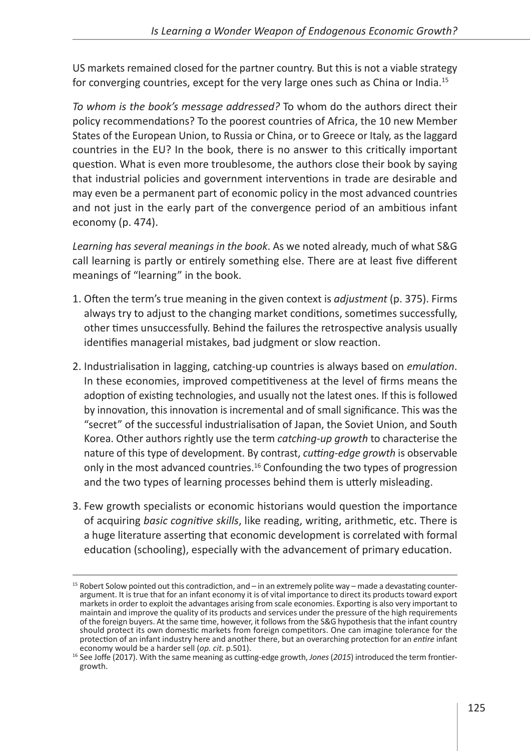US markets remained closed for the partner country. But this is not a viable strategy for converging countries, except for the very large ones such as China or India.<sup>15</sup>

*To whom is the book's message addressed?* To whom do the authors direct their policy recommendations? To the poorest countries of Africa, the 10 new Member States of the European Union, to Russia or China, or to Greece or Italy, as the laggard countries in the EU? In the book, there is no answer to this critically important question. What is even more troublesome, the authors close their book by saying that industrial policies and government interventions in trade are desirable and may even be a permanent part of economic policy in the most advanced countries and not just in the early part of the convergence period of an ambitious infant economy (p. 474).

*Learning has several meanings in the book*. As we noted already, much of what S&G call learning is partly or entirely something else. There are at least five different meanings of "learning" in the book.

- 1. Often the term's true meaning in the given context is *adjustment* (p. 375). Firms always try to adjust to the changing market conditions, sometimes successfully, other times unsuccessfully. Behind the failures the retrospective analysis usually identifies managerial mistakes, bad judgment or slow reaction.
- 2. Industrialisation in lagging, catching-up countries is always based on *emulation*. In these economies, improved competitiveness at the level of firms means the adoption of existing technologies, and usually not the latest ones. If this is followed by innovation, this innovation is incremental and of small significance. This was the "secret" of the successful industrialisation of Japan, the Soviet Union, and South Korea. Other authors rightly use the term *catching-up growth* to characterise the nature of this type of development. By contrast, *cutting-edge growth* is observable only in the most advanced countries.<sup>16</sup> Confounding the two types of progression and the two types of learning processes behind them is utterly misleading.
- 3. Few growth specialists or economic historians would question the importance of acquiring *basic cognitive skills*, like reading, writing, arithmetic, etc. There is a huge literature asserting that economic development is correlated with formal education (schooling), especially with the advancement of primary education.

 $15$  Robert Solow pointed out this contradiction, and  $-$  in an extremely polite way – made a devastating counterargument. It is true that for an infant economy it is of vital importance to direct its products toward export markets in order to exploit the advantages arising from scale economies. Exporting is also very important to maintain and improve the quality of its products and services under the pressure of the high requirements of the foreign buyers. At the same time, however, it follows from the S&G hypothesis that the infant country should protect its own domestic markets from foreign competitors. One can imagine tolerance for the protection of an infant industry here and another there, but an overarching protection for an *entire* infant

<sup>&</sup>lt;sup>16</sup> See Joffe (2017). With the same meaning as cutting-edge growth, Jones (2015) introduced the term frontiergrowth.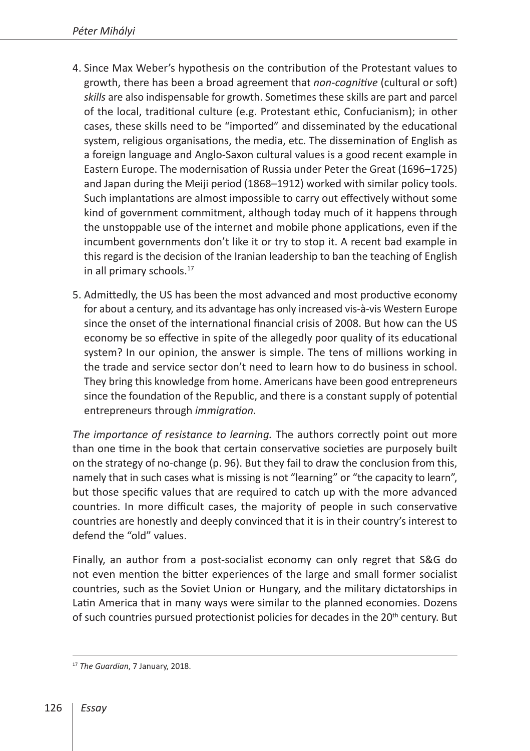- 4. Since Max Weber's hypothesis on the contribution of the Protestant values to growth, there has been a broad agreement that *non-cognitive* (cultural or soft) *skills* are also indispensable for growth. Sometimes these skills are part and parcel of the local, traditional culture (e.g. Protestant ethic, Confucianism); in other cases, these skills need to be "imported" and disseminated by the educational system, religious organisations, the media, etc. The dissemination of English as a foreign language and Anglo-Saxon cultural values is a good recent example in Eastern Europe. The modernisation of Russia under Peter the Great (1696–1725) and Japan during the Meiji period (1868–1912) worked with similar policy tools. Such implantations are almost impossible to carry out effectively without some kind of government commitment, although today much of it happens through the unstoppable use of the internet and mobile phone applications, even if the incumbent governments don't like it or try to stop it. A recent bad example in this regard is the decision of the Iranian leadership to ban the teaching of English in all primary schools.<sup>17</sup>
- 5. Admittedly, the US has been the most advanced and most productive economy for about a century, and its advantage has only increased vis-à-vis Western Europe since the onset of the international financial crisis of 2008. But how can the US economy be so effective in spite of the allegedly poor quality of its educational system? In our opinion, the answer is simple. The tens of millions working in the trade and service sector don't need to learn how to do business in school. They bring this knowledge from home. Americans have been good entrepreneurs since the foundation of the Republic, and there is a constant supply of potential entrepreneurs through *immigration.*

*The importance of resistance to learning.* The authors correctly point out more than one time in the book that certain conservative societies are purposely built on the strategy of no-change (p. 96). But they fail to draw the conclusion from this, namely that in such cases what is missing is not "learning" or "the capacity to learn", but those specific values that are required to catch up with the more advanced countries. In more difficult cases, the majority of people in such conservative countries are honestly and deeply convinced that it is in their country's interest to defend the "old" values.

Finally, an author from a post-socialist economy can only regret that S&G do not even mention the bitter experiences of the large and small former socialist countries, such as the Soviet Union or Hungary, and the military dictatorships in Latin America that in many ways were similar to the planned economies. Dozens of such countries pursued protectionist policies for decades in the 20<sup>th</sup> century. But

<sup>17</sup> *The Guardian*, 7 January, 2018.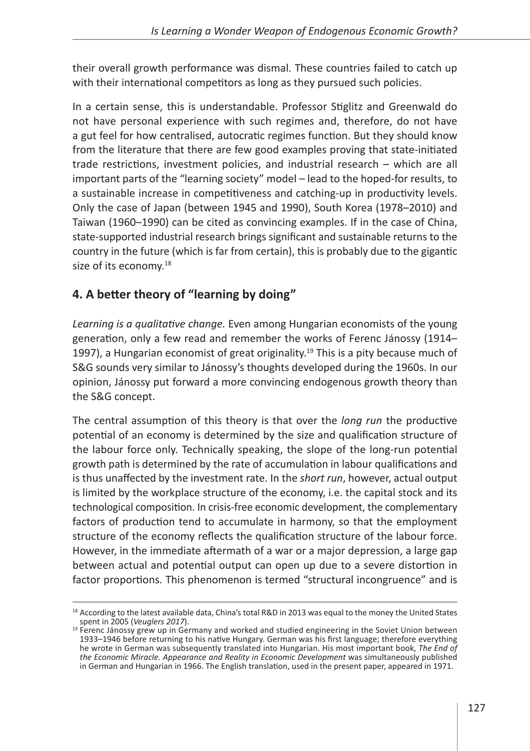their overall growth performance was dismal. These countries failed to catch up with their international competitors as long as they pursued such policies.

In a certain sense, this is understandable. Professor Stiglitz and Greenwald do not have personal experience with such regimes and, therefore, do not have a gut feel for how centralised, autocratic regimes function. But they should know from the literature that there are few good examples proving that state-initiated trade restrictions, investment policies, and industrial research – which are all important parts of the "learning society" model – lead to the hoped-for results, to a sustainable increase in competitiveness and catching-up in productivity levels. Only the case of Japan (between 1945 and 1990), South Korea (1978–2010) and Taiwan (1960–1990) can be cited as convincing examples. If in the case of China, state-supported industrial research brings significant and sustainable returns to the country in the future (which is far from certain), this is probably due to the gigantic size of its economy.<sup>18</sup>

## **4. A better theory of "learning by doing"**

*Learning is a qualitative change.* Even among Hungarian economists of the young generation, only a few read and remember the works of Ferenc Jánossy (1914– 1997), a Hungarian economist of great originality.<sup>19</sup> This is a pity because much of S&G sounds very similar to Jánossy's thoughts developed during the 1960s. In our opinion, Jánossy put forward a more convincing endogenous growth theory than the S&G concept.

The central assumption of this theory is that over the *long run* the productive potential of an economy is determined by the size and qualification structure of the labour force only. Technically speaking, the slope of the long-run potential growth path is determined by the rate of accumulation in labour qualifications and is thus unaffected by the investment rate. In the *short run*, however, actual output is limited by the workplace structure of the economy, i.e. the capital stock and its technological composition. In crisis-free economic development, the complementary factors of production tend to accumulate in harmony, so that the employment structure of the economy reflects the qualification structure of the labour force. However, in the immediate aftermath of a war or a major depression, a large gap between actual and potential output can open up due to a severe distortion in factor proportions. This phenomenon is termed "structural incongruence" and is

<sup>&</sup>lt;sup>18</sup> According to the latest available data, China's total R&D in 2013 was equal to the money the United States spent in 2005 (Veuglers 2017).

<sup>&</sup>lt;sup>19</sup> Ferenc Jánossy grew up in Germany and worked and studied engineering in the Soviet Union between 1933–1946 before returning to his native Hungary. German was his first language; therefore everything he wrote in German was subsequently translated into Hungarian. His most important book, *The End of the Economic Miracle. Appearance and Reality in Economic Development* was simultaneously published in German and Hungarian in 1966. The English translation, used in the present paper, appeared in 1971.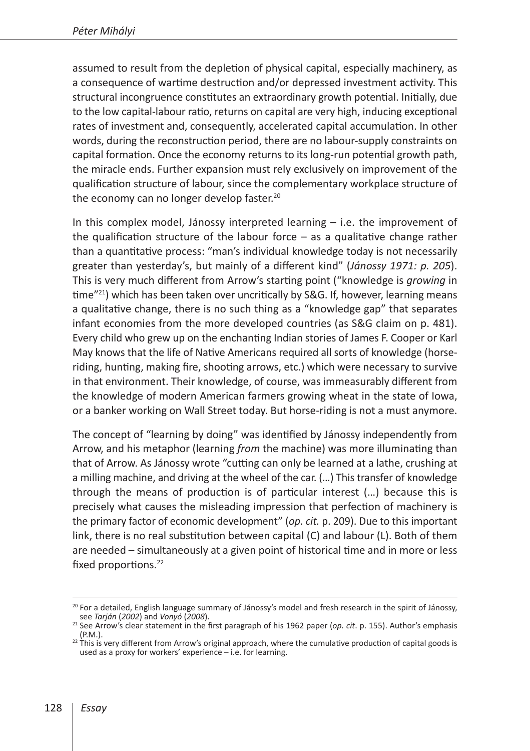assumed to result from the depletion of physical capital, especially machinery, as a consequence of wartime destruction and/or depressed investment activity. This structural incongruence constitutes an extraordinary growth potential. Initially, due to the low capital-labour ratio, returns on capital are very high, inducing exceptional rates of investment and, consequently, accelerated capital accumulation. In other words, during the reconstruction period, there are no labour-supply constraints on capital formation. Once the economy returns to its long-run potential growth path, the miracle ends. Further expansion must rely exclusively on improvement of the qualification structure of labour, since the complementary workplace structure of the economy can no longer develop faster.<sup>20</sup>

In this complex model, Jánossy interpreted learning – i.e. the improvement of the qualification structure of the labour force  $-$  as a qualitative change rather than a quantitative process: "man's individual knowledge today is not necessarily greater than yesterday's, but mainly of a different kind" (*Jánossy 1971: p. 205*). This is very much different from Arrow's starting point ("knowledge is *growing* in time<sup>"21</sup>) which has been taken over uncritically by S&G. If, however, learning means a qualitative change, there is no such thing as a "knowledge gap" that separates infant economies from the more developed countries (as S&G claim on p. 481). Every child who grew up on the enchanting Indian stories of James F. Cooper or Karl May knows that the life of Native Americans required all sorts of knowledge (horseriding, hunting, making fire, shooting arrows, etc.) which were necessary to survive in that environment. Their knowledge, of course, was immeasurably different from the knowledge of modern American farmers growing wheat in the state of Iowa, or a banker working on Wall Street today. But horse-riding is not a must anymore.

The concept of "learning by doing" was identified by Jánossy independently from Arrow, and his metaphor (learning *from* the machine) was more illuminating than that of Arrow. As Jánossy wrote "cutting can only be learned at a lathe, crushing at a milling machine, and driving at the wheel of the car. (…) This transfer of knowledge through the means of production is of particular interest (…) because this is precisely what causes the misleading impression that perfection of machinery is the primary factor of economic development" (*op. cit.* p. 209). Due to this important link, there is no real substitution between capital (C) and labour (L). Both of them are needed – simultaneously at a given point of historical time and in more or less fixed proportions.<sup>22</sup>

<sup>&</sup>lt;sup>20</sup> For a detailed, English language summary of Jánossy's model and fresh research in the spirit of Jánossy, see Tarján (2002) and Vonyó (2008).

see *Tarján* (*2002*) and *Vonyó* (*2008*). <sup>21</sup> See Arrow's clear statement in the first paragraph of his 1962 paper (*op. cit*. p. 155). Author's emphasis

<sup>(</sup>P.M.).<br><sup>22</sup> This is very different from Arrow's original approach, where the cumulative production of capital goods is used as a proxy for workers' experience – i.e. for learning.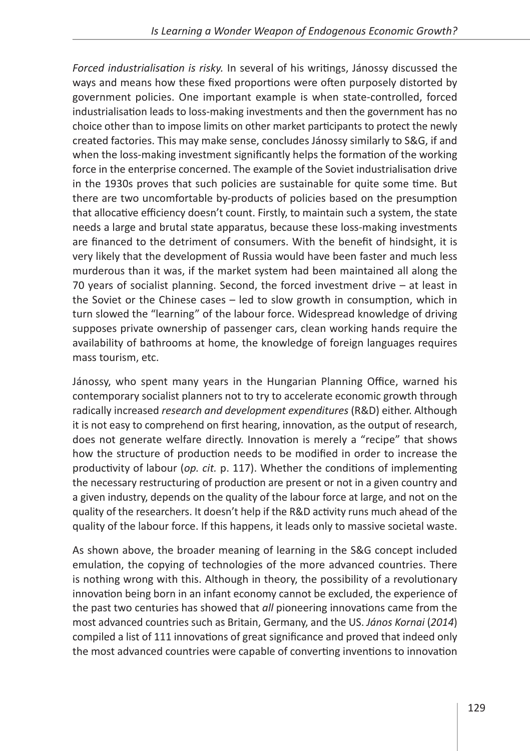*Forced industrialisation is risky.* In several of his writings, Jánossy discussed the ways and means how these fixed proportions were often purposely distorted by government policies. One important example is when state-controlled, forced industrialisation leads to loss-making investments and then the government has no choice other than to impose limits on other market participants to protect the newly created factories. This may make sense, concludes Jánossy similarly to S&G, if and when the loss-making investment significantly helps the formation of the working force in the enterprise concerned. The example of the Soviet industrialisation drive in the 1930s proves that such policies are sustainable for quite some time. But there are two uncomfortable by-products of policies based on the presumption that allocative efficiency doesn't count. Firstly, to maintain such a system, the state needs a large and brutal state apparatus, because these loss-making investments are financed to the detriment of consumers. With the benefit of hindsight, it is very likely that the development of Russia would have been faster and much less murderous than it was, if the market system had been maintained all along the 70 years of socialist planning. Second, the forced investment drive – at least in the Soviet or the Chinese cases – led to slow growth in consumption, which in turn slowed the "learning" of the labour force. Widespread knowledge of driving supposes private ownership of passenger cars, clean working hands require the availability of bathrooms at home, the knowledge of foreign languages requires mass tourism, etc.

Jánossy, who spent many years in the Hungarian Planning Office, warned his contemporary socialist planners not to try to accelerate economic growth through radically increased *research and development expenditures* (R&D) either. Although it is not easy to comprehend on first hearing, innovation, as the output of research, does not generate welfare directly. Innovation is merely a "recipe" that shows how the structure of production needs to be modified in order to increase the productivity of labour (*op. cit.* p. 117). Whether the conditions of implementing the necessary restructuring of production are present or not in a given country and a given industry, depends on the quality of the labour force at large, and not on the quality of the researchers. It doesn't help if the R&D activity runs much ahead of the quality of the labour force. If this happens, it leads only to massive societal waste.

As shown above, the broader meaning of learning in the S&G concept included emulation, the copying of technologies of the more advanced countries. There is nothing wrong with this. Although in theory, the possibility of a revolutionary innovation being born in an infant economy cannot be excluded, the experience of the past two centuries has showed that *all* pioneering innovations came from the most advanced countries such as Britain, Germany, and the US. *János Kornai* (*2014*) compiled a list of 111 innovations of great significance and proved that indeed only the most advanced countries were capable of converting inventions to innovation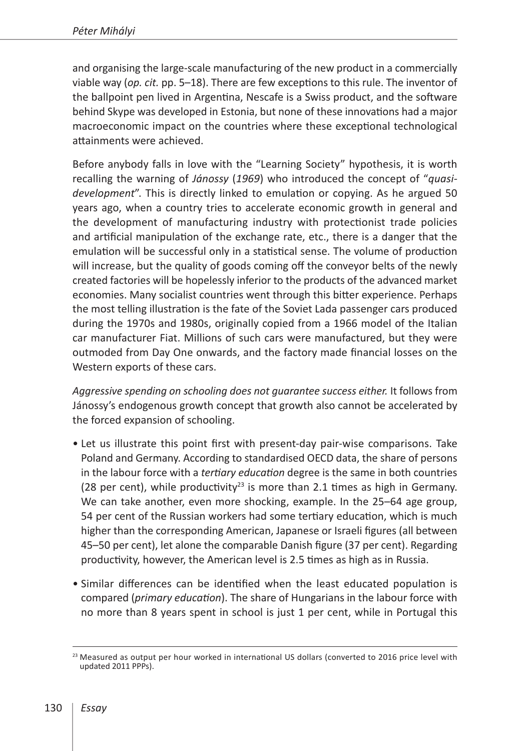and organising the large-scale manufacturing of the new product in a commercially viable way (*op. cit.* pp. 5–18). There are few exceptions to this rule. The inventor of the ballpoint pen lived in Argentina, Nescafe is a Swiss product, and the software behind Skype was developed in Estonia, but none of these innovations had a major macroeconomic impact on the countries where these exceptional technological attainments were achieved.

Before anybody falls in love with the "Learning Society" hypothesis, it is worth recalling the warning of *Jánossy* (*1969*) who introduced the concept of "*quasidevelopment*". This is directly linked to emulation or copying. As he argued 50 years ago, when a country tries to accelerate economic growth in general and the development of manufacturing industry with protectionist trade policies and artificial manipulation of the exchange rate, etc., there is a danger that the emulation will be successful only in a statistical sense. The volume of production will increase, but the quality of goods coming off the conveyor belts of the newly created factories will be hopelessly inferior to the products of the advanced market economies. Many socialist countries went through this bitter experience. Perhaps the most telling illustration is the fate of the Soviet Lada passenger cars produced during the 1970s and 1980s, originally copied from a 1966 model of the Italian car manufacturer Fiat. Millions of such cars were manufactured, but they were outmoded from Day One onwards, and the factory made financial losses on the Western exports of these cars.

*Aggressive spending on schooling does not guarantee success either.* It follows from Jánossy's endogenous growth concept that growth also cannot be accelerated by the forced expansion of schooling.

- Let us illustrate this point first with present-day pair-wise comparisons. Take Poland and Germany. According to standardised OECD data, the share of persons in the labour force with a *tertiary education* degree is the same in both countries (28 per cent), while productivity<sup>23</sup> is more than 2.1 times as high in Germany. We can take another, even more shocking, example. In the 25–64 age group, 54 per cent of the Russian workers had some tertiary education, which is much higher than the corresponding American, Japanese or Israeli figures (all between 45–50 per cent), let alone the comparable Danish figure (37 per cent). Regarding productivity, however, the American level is 2.5 times as high as in Russia.
- Similar differences can be identified when the least educated population is compared (*primary education*). The share of Hungarians in the labour force with no more than 8 years spent in school is just 1 per cent, while in Portugal this

 $23$  Measured as output per hour worked in international US dollars (converted to 2016 price level with updated 2011 PPPs).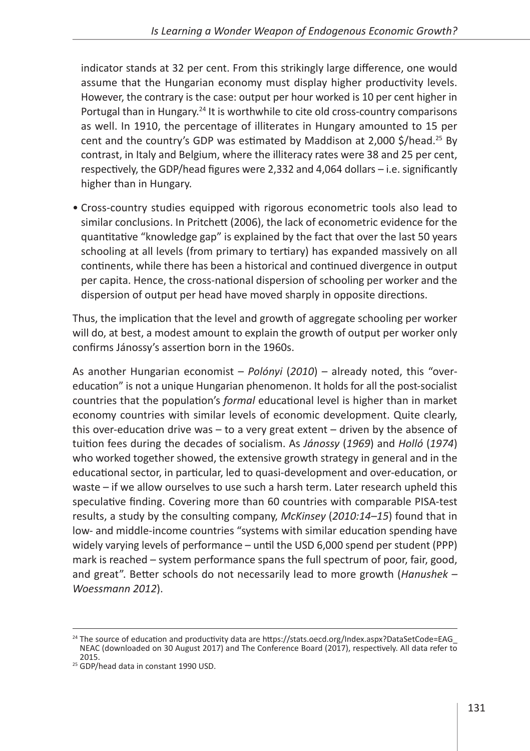indicator stands at 32 per cent. From this strikingly large difference, one would assume that the Hungarian economy must display higher productivity levels. However, the contrary is the case: output per hour worked is 10 per cent higher in Portugal than in Hungary.<sup>24</sup> It is worthwhile to cite old cross-country comparisons as well. In 1910, the percentage of illiterates in Hungary amounted to 15 per cent and the country's GDP was estimated by Maddison at 2,000 \$/head.25 By contrast, in Italy and Belgium, where the illiteracy rates were 38 and 25 per cent, respectively, the GDP/head figures were 2,332 and 4,064 dollars – i.e. significantly higher than in Hungary.

• Cross-country studies equipped with rigorous econometric tools also lead to similar conclusions. In Pritchett (2006), the lack of econometric evidence for the quantitative "knowledge gap" is explained by the fact that over the last 50 years schooling at all levels (from primary to tertiary) has expanded massively on all continents, while there has been a historical and continued divergence in output per capita. Hence, the cross-national dispersion of schooling per worker and the dispersion of output per head have moved sharply in opposite directions.

Thus, the implication that the level and growth of aggregate schooling per worker will do, at best, a modest amount to explain the growth of output per worker only confirms Jánossy's assertion born in the 1960s.

As another Hungarian economist – *Polónyi* (*2010*) – already noted, this "overeducation" is not a unique Hungarian phenomenon. It holds for all the post-socialist countries that the population's *formal* educational level is higher than in market economy countries with similar levels of economic development. Quite clearly, this over-education drive was – to a very great extent – driven by the absence of tuition fees during the decades of socialism. As *Jánossy* (*1969*) and *Holló* (*1974*) who worked together showed, the extensive growth strategy in general and in the educational sector, in particular, led to quasi-development and over-education, or waste – if we allow ourselves to use such a harsh term. Later research upheld this speculative finding. Covering more than 60 countries with comparable PISA-test results, a study by the consulting company, *McKinsey* (*2010:14–15*) found that in low- and middle-income countries "systems with similar education spending have widely varying levels of performance – until the USD 6,000 spend per student (PPP) mark is reached – system performance spans the full spectrum of poor, fair, good, and great". Better schools do not necessarily lead to more growth (*Hanushek – Woessmann 2012*).

<sup>&</sup>lt;sup>24</sup> The source of education and productivity data are [https://stats.oecd.org/Index.aspx?DataSetCode=EAG\\_](https://stats.oecd.org/Index.aspx?DataSetCode=EAG_NEAC) [NEAC](https://stats.oecd.org/Index.aspx?DataSetCode=EAG_NEAC) (downloaded on 30 August 2017) and The Conference Board (2017), respectively. All data refer to

<sup>&</sup>lt;sup>25</sup> GDP/head data in constant 1990 USD.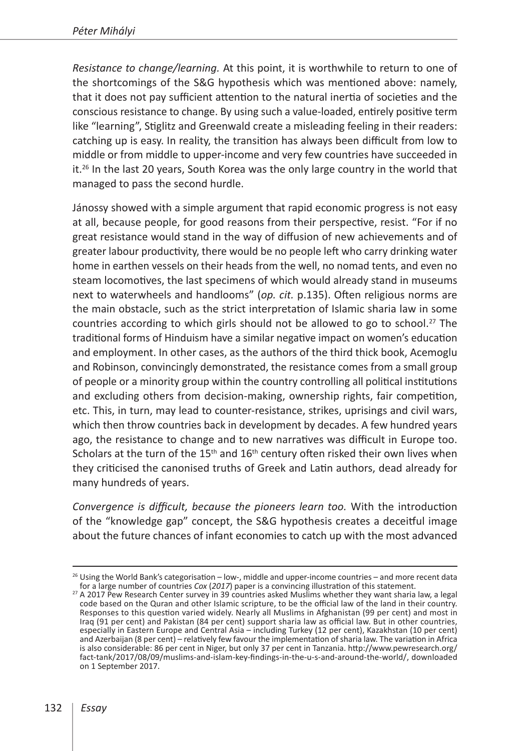*Resistance to change/learning.* At this point, it is worthwhile to return to one of the shortcomings of the S&G hypothesis which was mentioned above: namely, that it does not pay sufficient attention to the natural inertia of societies and the conscious resistance to change. By using such a value-loaded, entirely positive term like "learning", Stiglitz and Greenwald create a misleading feeling in their readers: catching up is easy. In reality, the transition has always been difficult from low to middle or from middle to upper-income and very few countries have succeeded in it.<sup>26</sup> In the last 20 years, South Korea was the only large country in the world that managed to pass the second hurdle.

Jánossy showed with a simple argument that rapid economic progress is not easy at all, because people, for good reasons from their perspective, resist. "For if no great resistance would stand in the way of diffusion of new achievements and of greater labour productivity, there would be no people left who carry drinking water home in earthen vessels on their heads from the well, no nomad tents, and even no steam locomotives, the last specimens of which would already stand in museums next to waterwheels and handlooms" (*op. cit.* p.135). Often religious norms are the main obstacle, such as the strict interpretation of Islamic sharia law in some countries according to which girls should not be allowed to go to school.<sup>27</sup> The traditional forms of Hinduism have a similar negative impact on women's education and employment. In other cases, as the authors of the third thick book, Acemoglu and Robinson, convincingly demonstrated, the resistance comes from a small group of people or a minority group within the country controlling all political institutions and excluding others from decision-making, ownership rights, fair competition, etc. This, in turn, may lead to counter-resistance, strikes, uprisings and civil wars, which then throw countries back in development by decades. A few hundred years ago, the resistance to change and to new narratives was difficult in Europe too. Scholars at the turn of the 15<sup>th</sup> and 16<sup>th</sup> century often risked their own lives when they criticised the canonised truths of Greek and Latin authors, dead already for many hundreds of years.

*Convergence is difficult, because the pioneers learn too.* With the introduction of the "knowledge gap" concept, the S&G hypothesis creates a deceitful image about the future chances of infant economies to catch up with the most advanced

<sup>&</sup>lt;sup>26</sup> Using the World Bank's categorisation – low-, middle and upper-income countries – and more recent data for a large number of countries *Cox* (2017) paper is a convincing illustration of this statement.

<sup>&</sup>lt;sup>27</sup> A 2017 Pew Research Center survey in 39 countries asked Muslims whether they want sharia law, a legal code based on the Quran and other Islamic scripture, to be the official law of the land in their country. Responses to this question varied widely. Nearly all Muslims in Afghanistan (99 per cent) and most in Iraq (91 per cent) and Pakistan (84 per cent) support sharia law as official law. But in other countries, especially in Eastern Europe and Central Asia – including Turkey (12 per cent), Kazakhstan (10 per cent) and Azerbaijan (8 per cent) – relatively few favour the implementation of sharia law. The variation in Africa is also considerable: 86 per cent in Niger, but only 37 per cent in Tanzania. [http://www.pewresearch.org/](http://www.pewresearch.org/fact-tank/2017/08/09/muslims-and-islam-key-findings-in-the-u-s-and-around-the-world/) [fact-tank/2017/08/09/muslims-and-islam-key-findings-in-the-u-s-and-around-the-world/,](http://www.pewresearch.org/fact-tank/2017/08/09/muslims-and-islam-key-findings-in-the-u-s-and-around-the-world/) downloaded on 1 September 2017.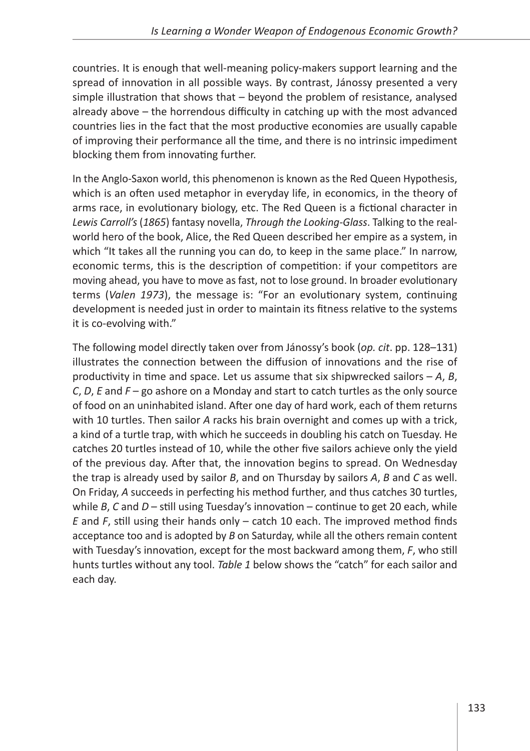countries. It is enough that well-meaning policy-makers support learning and the spread of innovation in all possible ways. By contrast, Jánossy presented a very simple illustration that shows that – beyond the problem of resistance, analysed already above – the horrendous difficulty in catching up with the most advanced countries lies in the fact that the most productive economies are usually capable of improving their performance all the time, and there is no intrinsic impediment blocking them from innovating further.

In the Anglo-Saxon world, this phenomenon is known as the Red Queen Hypothesis, which is an often used metaphor in everyday life, in economics, in the theory of arms race, in evolutionary biology, etc. The Red Queen is a fictional character in *Lewis Carroll's* (*1865*) fantasy novella, *Through the Looking-Glass*. Talking to the realworld hero of the book, Alice, the Red Queen described her empire as a system, in which "It takes all the running you can do, to keep in the same place." In narrow, economic terms, this is the description of competition: if your competitors are moving ahead, you have to move as fast, not to lose ground. In broader evolutionary terms (*Valen 1973*), the message is: "For an evolutionary system, continuing development is needed just in order to maintain its fitness relative to the systems it is co-evolving with."

The following model directly taken over from Jánossy's book (*op. cit*. pp. 128–131) illustrates the connection between the diffusion of innovations and the rise of productivity in time and space. Let us assume that six shipwrecked sailors – *A*, *B*, *C*, *D*, *E* and *F* – go ashore on a Monday and start to catch turtles as the only source of food on an uninhabited island. After one day of hard work, each of them returns with 10 turtles. Then sailor *A* racks his brain overnight and comes up with a trick, a kind of a turtle trap, with which he succeeds in doubling his catch on Tuesday. He catches 20 turtles instead of 10, while the other five sailors achieve only the yield of the previous day. After that, the innovation begins to spread. On Wednesday the trap is already used by sailor *B*, and on Thursday by sailors *A*, *B* and *C* as well. On Friday, *A* succeeds in perfecting his method further, and thus catches 30 turtles, while *B*, *C* and *D* – still using Tuesday's innovation – continue to get 20 each, while *E* and *F*, still using their hands only – catch 10 each. The improved method finds acceptance too and is adopted by *B* on Saturday, while all the others remain content with Tuesday's innovation, except for the most backward among them, *F*, who still hunts turtles without any tool. *Table 1* below shows the "catch" for each sailor and each day.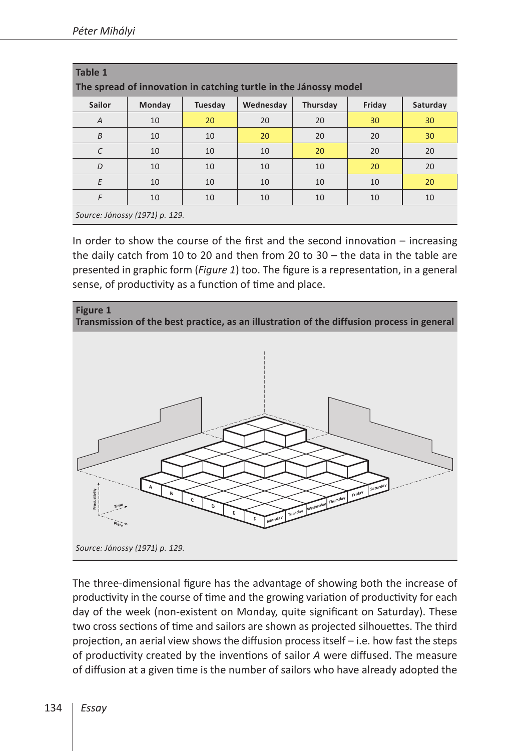| Table 1<br>The spread of innovation in catching turtle in the Jánossy model |        |         |           |          |        |          |
|-----------------------------------------------------------------------------|--------|---------|-----------|----------|--------|----------|
| <b>Sailor</b>                                                               | Monday | Tuesday | Wednesday | Thursday | Friday | Saturday |
| $\overline{A}$                                                              | 10     | 20      | 20        | 20       | 30     | 30       |
| B                                                                           | 10     | 10      | 20        | 20       | 20     | 30       |
| C                                                                           | 10     | 10      | 10        | 20       | 20     | 20       |
| D                                                                           | 10     | 10      | 10        | 10       | 20     | 20       |
| E                                                                           | 10     | 10      | 10        | 10       | 10     | 20       |
| F                                                                           | 10     | 10      | 10        | 10       | 10     | 10       |
| Source: Jánossy (1971) p. 129.                                              |        |         |           |          |        |          |

In order to show the course of the first and the second innovation – increasing the daily catch from 10 to 20 and then from 20 to 30 – the data in the table are presented in graphic form (*Figure 1*) too. The figure is a representation, in a general sense, of productivity as a function of time and place.



The three-dimensional figure has the advantage of showing both the increase of productivity in the course of time and the growing variation of productivity for each day of the week (non-existent on Monday, quite significant on Saturday). These two cross sections of time and sailors are shown as projected silhouettes. The third projection, an aerial view shows the diffusion process itself – i.e. how fast the steps of productivity created by the inventions of sailor *A* were diffused. The measure of diffusion at a given time is the number of sailors who have already adopted the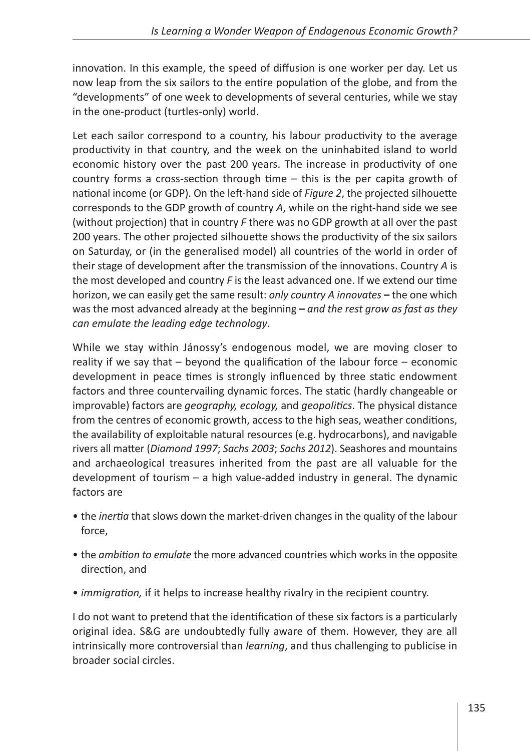innovation. In this example, the speed of diffusion is one worker per day. Let us now leap from the six sailors to the entire population of the globe, and from the "developments" of one week to developments of several centuries, while we stay in the one-product (turtles-only) world.

Let each sailor correspond to a country, his labour productivity to the average productivity in that country, and the week on the uninhabited island to world economic history over the past 200 years. The increase in productivity of one country forms a cross-section through time – this is the per capita growth of national income (or GDP). On the left-hand side of *Figure 2*, the projected silhouette corresponds to the GDP growth of country *A*, while on the right-hand side we see (without projection) that in country *F* there was no GDP growth at all over the past 200 years. The other projected silhouette shows the productivity of the six sailors on Saturday, or (in the generalised model) all countries of the world in order of their stage of development after the transmission of the innovations. Country *A* is the most developed and country *F* is the least advanced one. If we extend our time horizon, we can easily get the same result: *only country A innovates* **–** the one which was the most advanced already at the beginning **–** *and the rest grow as fast as they can emulate the leading edge technology*.

While we stay within Jánossy's endogenous model, we are moving closer to reality if we say that – beyond the qualification of the labour force – economic development in peace times is strongly influenced by three static endowment factors and three countervailing dynamic forces. The static (hardly changeable or improvable) factors are *geography, ecology,* and *geopolitics*. The physical distance from the centres of economic growth, access to the high seas, weather conditions, the availability of exploitable natural resources (e.g. hydrocarbons), and navigable rivers all matter (*Diamond 1997*; *Sachs 2003*; *Sachs 2012*). Seashores and mountains and archaeological treasures inherited from the past are all valuable for the development of tourism – a high value-added industry in general. The dynamic factors are

- the *inertia* that slows down the market-driven changes in the quality of the labour force,
- the *ambition to emulate* the more advanced countries which works in the opposite direction, and
- *immigration,* if it helps to increase healthy rivalry in the recipient country.

I do not want to pretend that the identification of these six factors is a particularly original idea. S&G are undoubtedly fully aware of them. However, they are all intrinsically more controversial than *learning*, and thus challenging to publicise in broader social circles.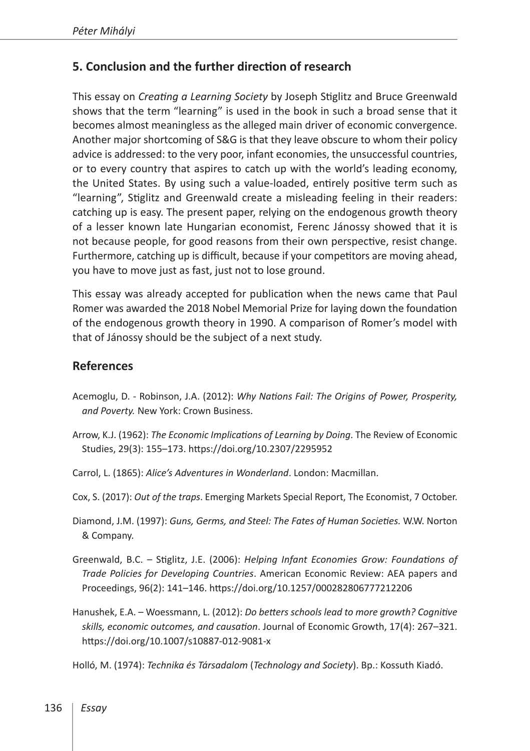#### **5. Conclusion and the further direction of research**

This essay on *Creating a Learning Society* by Joseph Stiglitz and Bruce Greenwald shows that the term "learning" is used in the book in such a broad sense that it becomes almost meaningless as the alleged main driver of economic convergence. Another major shortcoming of S&G is that they leave obscure to whom their policy advice is addressed: to the very poor, infant economies, the unsuccessful countries, or to every country that aspires to catch up with the world's leading economy, the United States. By using such a value-loaded, entirely positive term such as "learning", Stiglitz and Greenwald create a misleading feeling in their readers: catching up is easy. The present paper, relying on the endogenous growth theory of a lesser known late Hungarian economist, Ferenc Jánossy showed that it is not because people, for good reasons from their own perspective, resist change. Furthermore, catching up is difficult, because if your competitors are moving ahead, you have to move just as fast, just not to lose ground.

This essay was already accepted for publication when the news came that Paul Romer was awarded the 2018 Nobel Memorial Prize for laying down the foundation of the endogenous growth theory in 1990. A comparison of Romer's model with that of Jánossy should be the subject of a next study.

#### **References**

- Acemoglu, D. Robinson, J.A. (2012): *Why Nations Fail: The Origins of Power, Prosperity, and Poverty.* New York: Crown Business.
- Arrow, K.J. (1962): *The Economic Implications of Learning by Doing*. The Review of Economic Studies, 29(3): 155–173.<https://doi.org/10.2307/2295952>
- Carrol, L. (1865): *Alice's Adventures in Wonderland*. London: Macmillan.
- Cox, S. (2017): *Out of the traps*. Emerging Markets Special Report, The Economist, 7 October.
- Diamond, J.M. (1997): *Guns, Germs, and Steel: The Fates of Human Societies.* W.W. Norton & Company.
- Greenwald, B.C. Stiglitz, J.E. (2006): *Helping Infant Economies Grow: Foundations of Trade Policies for Developing Countries*. American Economic Review: AEA papers and Proceedings, 96(2): 141–146.<https://doi.org/10.1257/000282806777212206>
- Hanushek, E.A. Woessmann, L. (2012): *Do betters schools lead to more growth? Cognitive skills, economic outcomes, and causation*. Journal of Economic Growth, 17(4): 267–321. <https://doi.org/10.1007/s10887-012-9081-x>

Holló, M. (1974): *Technika és Társadalom* (*Technology and Society*). Bp.: Kossuth Kiadó.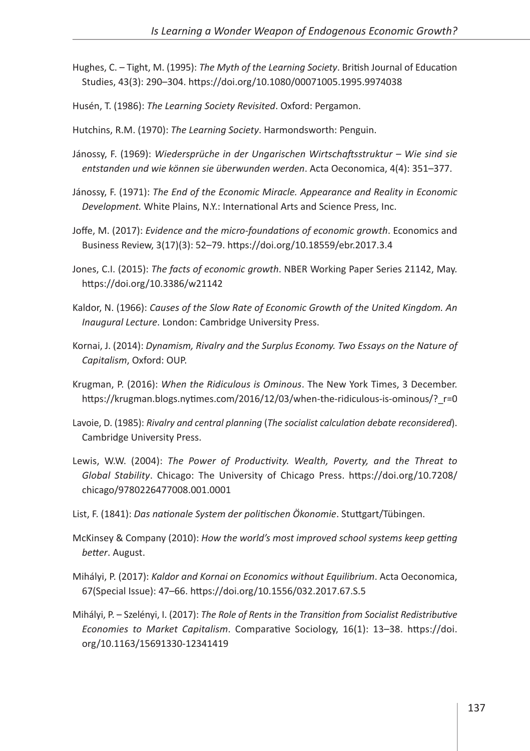- Hughes, C. Tight, M. (1995): *The Myth of the Learning Society*. British Journal of Education Studies, 43(3): 290–304.<https://doi.org/10.1080/00071005.1995.9974038>
- Husén, T. (1986): *The Learning Society Revisited*. Oxford: Pergamon.

Hutchins, R.M. (1970): *The Learning Society*. Harmondsworth: Penguin.

- Jánossy, F. (1969): *Wiedersprüche in der Ungarischen Wirtschaftsstruktur Wie sind sie entstanden und wie können sie überwunden werden*. Acta Oeconomica, 4(4): 351–377.
- Jánossy, F. (1971): *The End of the Economic Miracle. Appearance and Reality in Economic Development.* White Plains, N.Y.: International Arts and Science Press, Inc.
- Joffe, M. (2017): *Evidence and the micro-foundations of economic growth*. Economics and Business Review, 3(17)(3): 52–79.<https://doi.org/10.18559/ebr.2017.3.4>
- Jones, C.I. (2015): *The facts of economic growth*. NBER Working Paper Series 21142, May. <https://doi.org/10.3386/w21142>
- Kaldor, N. (1966): *Causes of the Slow Rate of Economic Growth of the United Kingdom. An Inaugural Lecture*. London: Cambridge University Press.
- Kornai, J. (2014): *Dynamism, Rivalry and the Surplus Economy. Two Essays on the Nature of Capitalism*, Oxford: OUP.
- Krugman, P. (2016): *When the Ridiculous is Ominous*. The New York Times, 3 December. [https://krugman.blogs.nytimes.com/2016/12/03/when-the-ridiculous-is-ominous/?\\_r=0](https://krugman.blogs.nytimes.com/2016/12/03/when-the-ridiculous-is-ominous/?_r=0)
- Lavoie, D. (1985): *Rivalry and central planning* (*The socialist calculation debate reconsidered*). Cambridge University Press.
- Lewis, W.W. (2004): *The Power of Productivity. Wealth, Poverty, and the Threat to Global Stability*. Chicago: The University of Chicago Press. [https://doi.org/10.7208/](https://doi.org/10.7208/chicago/9780226477008.001.0001) [chicago/9780226477008.001.0001](https://doi.org/10.7208/chicago/9780226477008.001.0001)
- List, F. (1841): *Das nationale System der politischen Ökonomie*. Stuttgart/Tübingen.
- McKinsey & Company (2010): *How the world's most improved school systems keep getting better*. August.
- Mihályi, P. (2017): *Kaldor and Kornai on Economics without Equilibrium*. Acta Oeconomica, 67(Special Issue): 47–66.<https://doi.org/10.1556/032.2017.67.S.5>
- Mihályi, P. Szelényi, I. (2017): *The Role of Rents in the Transition from Socialist Redistributive Economies to Market Capitalism*. Comparative Sociology, 16(1): 13–38. [https://doi.](https://doi.org/10.1163/15691330-12341419) [org/10.1163/15691330-12341419](https://doi.org/10.1163/15691330-12341419)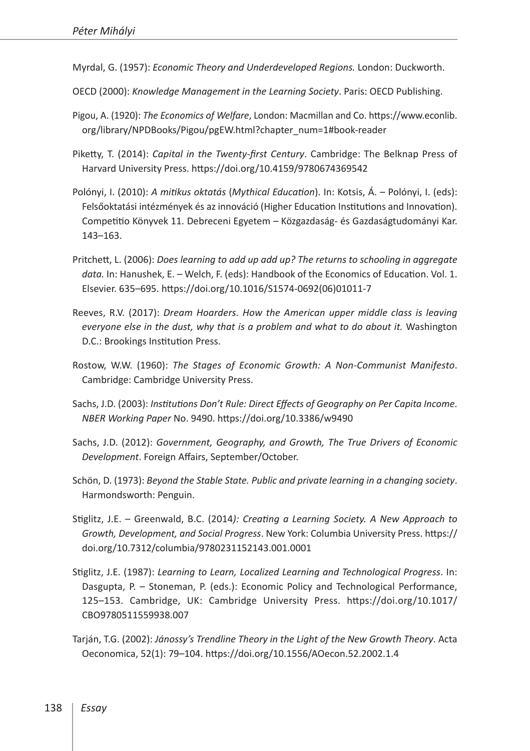- Myrdal, G. (1957): *Economic Theory and Underdeveloped Regions.* London: Duckworth.
- OECD (2000): *Knowledge Management in the Learning Society*. Paris: OECD Publishing.
- Pigou, A. (1920): *The Economics of Welfare*, London: Macmillan and Co. [https://www.econlib.](https://www.econlib.org/library/NPDBooks/Pigou/pgEW.html?chapter_num=1#book-reader) [org/library/NPDBooks/Pigou/pgEW.html?chapter\\_num=1#book-reader](https://www.econlib.org/library/NPDBooks/Pigou/pgEW.html?chapter_num=1#book-reader)
- Piketty, T. (2014): *Capital in the Twenty-first Century*. Cambridge: The Belknap Press of Harvard University Press. https://doi.org/10.4159/9780674369542
- Polónyi, I. (2010): *A mitikus oktatás* (*Mythical Education*). In: Kotsis, Á. Polónyi, I. (eds): Felsőoktatási intézmények és az innováció (Higher Education Institutions and Innovation). Competitio Könyvek 11. Debreceni Egyetem – Közgazdaság- és Gazdaságtudományi Kar. 143–163.
- Pritchett, L. (2006): *Does learning to add up add up? The returns to schooling in aggregate data.* In: Hanushek, E. – Welch, F. (eds): Handbook of the Economics of Education. Vol. 1. Elsevier. 635–695. [https://doi.org/10.1016/S1574-0692\(06\)01011-7](https://doi.org/10.1016/S1574-0692(06)01011-7)
- Reeves, R.V. (2017): *Dream Hoarders. How the American upper middle class is leaving everyone else in the dust, why that is a problem and what to do about it.* Washington D.C.: Brookings Institution Press.
- Rostow, W.W. (1960): *The Stages of Economic Growth: A Non-Communist Manifesto*. Cambridge: Cambridge University Press.
- Sachs, J.D. (2003): *Institutions Don't Rule: Direct Effects of Geography on Per Capita Income*. *NBER Working Paper* No. 9490.<https://doi.org/10.3386/w9490>
- Sachs, J.D. (2012): *Government, Geography, and Growth, The True Drivers of Economic Development*. Foreign Affairs, September/October.
- Schön, D. (1973): *Beyond the Stable State. Public and private learning in a changing society*. Harmondsworth: Penguin.
- Stiglitz, J.E. Greenwald, B.C. (2014*): Creating a Learning Society. A New Approach to Growth, Development, and Social Progress*. New York: Columbia University Press. [https://](https://doi.org/10.7312/columbia/9780231152143.001.0001) [doi.org/10.7312/columbia/9780231152143.001.0001](https://doi.org/10.7312/columbia/9780231152143.001.0001)
- Stiglitz, J.E. (1987): *Learning to Learn, Localized Learning and Technological Progress*. In: Dasgupta, P. – Stoneman, P. (eds.): Economic Policy and Technological Performance, 125–153. Cambridge, UK: Cambridge University Press. [https://doi.org/10.1017/](https://doi.org/10.1017/CBO9780511559938.007) [CBO9780511559938.007](https://doi.org/10.1017/CBO9780511559938.007)
- Tarján, T.G. (2002): *Jánossy's Trendline Theory in the Light of the New Growth Theory*. Acta Oeconomica, 52(1): 79–104. <https://doi.org/10.1556/AOecon.52.2002.1.4>